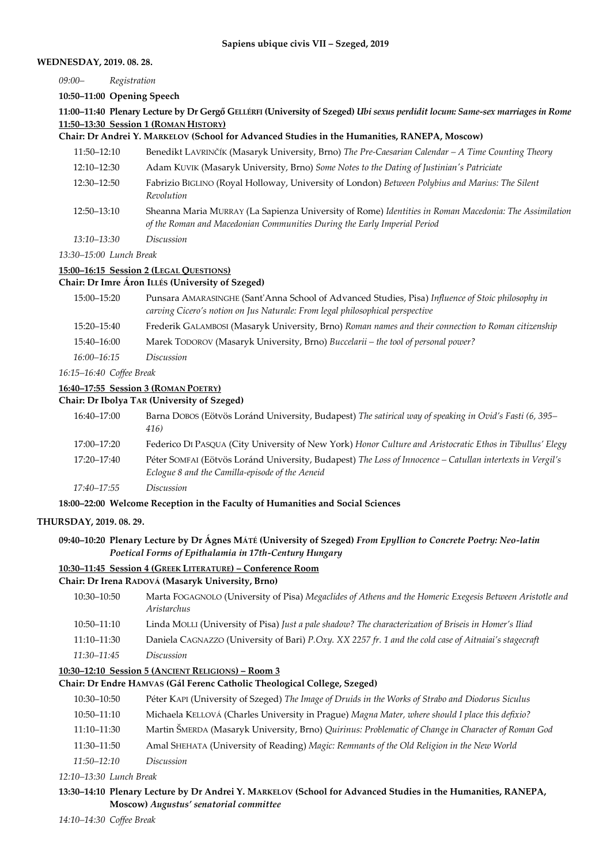#### **WEDNESDAY, 2019. 08. 28.**

*09:00– Registration*

**10:50–11:00 Opening Speech**

**11:00–11:40 Plenary Lecture by Dr Gergő GELLÉRFI (University of Szeged)** *Ubi sexus perdidit locum: Same-sex marriages in Rome* **11:50–13:30 Session 1 (ROMAN HISTORY)**

#### **Chair: Dr Andrei Y. MARKELOV (School for Advanced Studies in the Humanities, RANEPA, Moscow)**

- 11:50–12:10 Benedikt LAVRINČÍK (Masaryk University, Brno) *The Pre-Caesarian Calendar – A Time Counting Theory*
- 12:10–12:30 Adam KUVIK (Masaryk University, Brno) *Some Notes to the Dating of Justinian's Patriciate*
- 12:30–12:50 Fabrizio BIGLINO (Royal Holloway, University of London) *Between Polybius and Marius: The Silent Revolution*
- 12:50–13:10 Sheanna Maria MURRAY (La Sapienza University of Rome) *Identities in Roman Macedonia: The Assimilation of the Roman and Macedonian Communities During the Early Imperial Period*
- *13:10–13:30 Discussion*

*13:30–15:00 Lunch Break*

## **15:00–16:15 Session 2 (LEGAL QUESTIONS)**

#### **Chair: Dr Imre Áron ILLÉS (University of Szeged)**

15:00–15:20 Punsara AMARASINGHE (Sant'Anna School of Advanced Studies, Pisa) *Influence of Stoic philosophy in carving Cicero's notion on Jus Naturale: From legal philosophical perspective* 15:20–15:40 Frederik GALAMBOSI (Masaryk University, Brno) *Roman names and their connection to Roman citizenship* 15:40–16:00 Marek TODOROV (Masaryk University, Brno) *Buccelarii – the tool of personal power? 16:00–16:15 Discussion*

*16:15–16:40 Coffee Break*

#### **16:40–17:55 Session 3 (ROMAN POETRY)**

#### **Chair: Dr Ibolya TAR (University of Szeged)**

| 16:40-17:00 | Barna DOBOS (Eötvös Loránd University, Budapest) The satirical way of speaking in Ovid's Fasti (6, 395–<br>416)                                              |
|-------------|--------------------------------------------------------------------------------------------------------------------------------------------------------------|
| 17:00-17:20 | Federico Di PASQUA (City University of New York) Honor Culture and Aristocratic Ethos in Tibullus' Elegy                                                     |
| 17:20–17:40 | Péter SOMFAI (Eötvös Loránd University, Budapest) The Loss of Innocence – Catullan intertexts in Vergil's<br>Eclogue 8 and the Camilla-episode of the Aeneid |
| 17:40–17:55 | Discussion                                                                                                                                                   |

## **18:00–22:00 Welcome Reception in the Faculty of Humanities and Social Sciences**

#### **THURSDAY, 2019. 08. 29.**

## **09:40–10:20 Plenary Lecture by Dr Ágnes MÁTÉ (University of Szeged)** *From Epyllion to Concrete Poetry: Neo-latin Poetical Forms of Epithalamia in 17th-Century Hungary*

## **10:30–11:45 Session 4 (GREEK LITERATURE) – Conference Room**

#### **Chair: Dr Irena RADOVÁ (Masaryk University, Brno)**

- 10:30–10:50 Marta FOGAGNOLO (University of Pisa) *Megaclides of Athens and the Homeric Exegesis Between Aristotle and Aristarchus*
- 10:50–11:10 Linda MOLLI (University of Pisa) *Just a pale shadow? The characterization of Briseis in Homer's Iliad*
- 11:10–11:30 Daniela CAGNAZZO (University of Bari) *P.Oxy. XX 2257 fr. 1 and the cold case of Aitnaiai's stagecraft*
- *11:30–11:45 Discussion*

## **10:30–12:10 Session 5 (ANCIENT RELIGIONS) – Room 3**

## **Chair: Dr Endre HAMVAS (Gál Ferenc Catholic Theological College, Szeged)**

- 10:30–10:50 Péter KAPI (University of Szeged) *The Image of Druids in the Works of Strabo and Diodorus Siculus*
- 10:50–11:10 Michaela KELLOVÁ (Charles University in Prague) *Magna Mater, where should I place this defixio?*
- 11:10–11:30 Martin ŠMERDA (Masaryk University, Brno) *Quirinus: Problematic of Change in Character of Roman God*
- 11:30–11:50 Amal SHEHATA (University of Reading) *Magic: Remnants of the Old Religion in the New World*
- *11:50–12:10 Discussion*

*12:10–13:30 Lunch Break*

## **13:30–14:10 Plenary Lecture by Dr Andrei Y. MARKELOV (School for Advanced Studies in the Humanities, RANEPA, Moscow)** *Augustus' senatorial committee*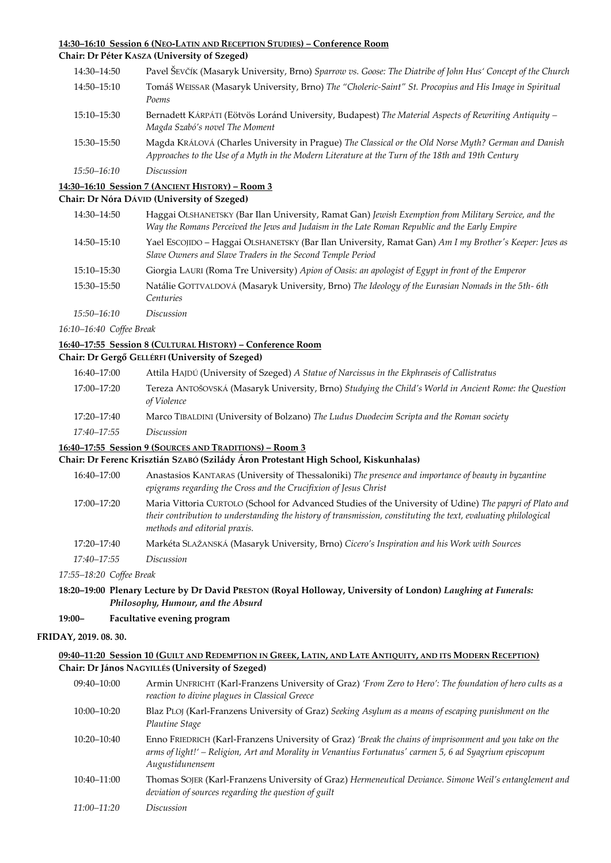## **14:30–16:10 Session 6 (NEO-LATIN AND RECEPTION STUDIES) – Conference Room**

# **Chair: Dr Péter KASZA (University of Szeged)**

| 14:30–14:50 | Pavel ŠEVČÍK (Masaryk University, Brno) Sparrow vs. Goose: The Diatribe of John Hus' Concept of the Church                                                                                               |
|-------------|----------------------------------------------------------------------------------------------------------------------------------------------------------------------------------------------------------|
| 14:50-15:10 | Tomáš WEISSAR (Masaryk University, Brno) The "Choleric-Saint" St. Procopius and His Image in Spiritual<br>Poems                                                                                          |
| 15:10–15:30 | Bernadett KÁRPÁTI (Eötvös Loránd University, Budapest) The Material Aspects of Rewriting Antiquity -<br>Magda Szabó's novel The Moment                                                                   |
| 15:30–15:50 | Magda KRÁLOVÁ (Charles University in Prague) The Classical or the Old Norse Myth? German and Danish<br>Approaches to the Use of a Myth in the Modern Literature at the Turn of the 18th and 19th Century |
| 15:50–16:10 | Discussion                                                                                                                                                                                               |

## **14:30–16:10 Session 7 (ANCIENT HISTORY) – Room 3**

#### **Chair: Dr Nóra DÁVID (University of Szeged)**

| 14:30–14:50 | Haggai OLSHANETSKY (Bar Ilan University, Ramat Gan) Jewish Exemption from Military Service, and the<br>Way the Romans Perceived the Jews and Judaism in the Late Roman Republic and the Early Empire |
|-------------|------------------------------------------------------------------------------------------------------------------------------------------------------------------------------------------------------|
| 14:50–15:10 | Yael EscoJIDO – Haggai OLSHANETSKY (Bar Ilan University, Ramat Gan) Am I my Brother's Keeper: Jews as<br>Slave Owners and Slave Traders in the Second Temple Period                                  |
| 15:10-15:30 | Giorgia LAURI (Roma Tre University) Apion of Oasis: an apologist of Egypt in front of the Emperor                                                                                                    |
| 15:30–15:50 | Natálie GOTTVALDOVÁ (Masaryk University, Brno) The Ideology of the Eurasian Nomads in the 5th-6th<br>Centuries                                                                                       |
| 15:50–16:10 | Discussion                                                                                                                                                                                           |
|             |                                                                                                                                                                                                      |

*16:10–16:40 Coffee Break*

## **16:40–17:55 Session 8 (CULTURAL HISTORY) – Conference Room**

# **Chair: Dr Gergő GELLÉRFI (University of Szeged)**

| 16:40–17:00 | Attila HAJDÚ (University of Szeged) A Statue of Narcissus in the Ekphraseis of Callistratus                          |
|-------------|----------------------------------------------------------------------------------------------------------------------|
| 17:00–17:20 | Tereza ANTOŠOVSKÁ (Masaryk University, Brno) Studying the Child's World in Ancient Rome: the Question<br>of Violence |
| 17:20–17:40 | Marco TIBALDINI (University of Bolzano) The Ludus Duodecim Scripta and the Roman society                             |
| 17:40–17:55 | Discussion                                                                                                           |

## **16:40–17:55 Session 9 (SOURCES AND TRADITIONS) – Room 3**

## **Chair: Dr Ferenc Krisztián SZABÓ (Szilády Áron Protestant High School, Kiskunhalas)**

| 16:40–17:00 | Anastasios KANTARAS (University of Thessaloniki) The presence and importance of beauty in byzantine<br>epigrams regarding the Cross and the Crucifixion of Jesus Christ                                                                                     |
|-------------|-------------------------------------------------------------------------------------------------------------------------------------------------------------------------------------------------------------------------------------------------------------|
| 17:00-17:20 | Maria Vittoria CURTOLO (School for Advanced Studies of the University of Udine) The papyri of Plato and<br>their contribution to understanding the history of transmission, constituting the text, evaluating philological<br>methods and editorial praxis. |
| 17:20–17:40 | Markéta SLAŽANSKÁ (Masaryk University, Brno) Cicero's Inspiration and his Work with Sources                                                                                                                                                                 |
| 17:40–17:55 | Discussion                                                                                                                                                                                                                                                  |

*17:55–18:20 Coffee Break*

## **18:20–19:00 Plenary Lecture by Dr David PRESTON (Royal Holloway, University of London)** *Laughing at Funerals: Philosophy, Humour, and the Absurd*

#### **19:00– Facultative evening program**

### **FRIDAY, 2019. 08. 30.**

## 09:40-11:20 Session 10 (GUILT AND REDEMPTION IN GREEK, LATIN, AND LATE ANTIQUITY, AND ITS MODERN RECEPTION) **Chair: Dr János NAGYILLÉS (University of Szeged)**

| 09:40-10:00 | Armin UNFRICHT (Karl-Franzens University of Graz) 'From Zero to Hero': The foundation of hero cults as a<br>reaction to divine plagues in Classical Greece                                                                            |
|-------------|---------------------------------------------------------------------------------------------------------------------------------------------------------------------------------------------------------------------------------------|
| 10:00-10:20 | Blaz PLOJ (Karl-Franzens University of Graz) Seeking Asylum as a means of escaping punishment on the<br>Plautine Stage                                                                                                                |
| 10:20–10:40 | Enno FRIEDRICH (Karl-Franzens University of Graz) 'Break the chains of imprisonment and you take on the<br>arms of light!' – Religion, Art and Morality in Venantius Fortunatus' carmen 5, 6 ad Syagrium episcopum<br>Augustidunensem |
| 10:40–11:00 | Thomas SOJER (Karl-Franzens University of Graz) Hermeneutical Deviance. Simone Weil's entanglement and<br>deviation of sources regarding the question of guilt                                                                        |
| 11:00–11:20 | Discussion                                                                                                                                                                                                                            |